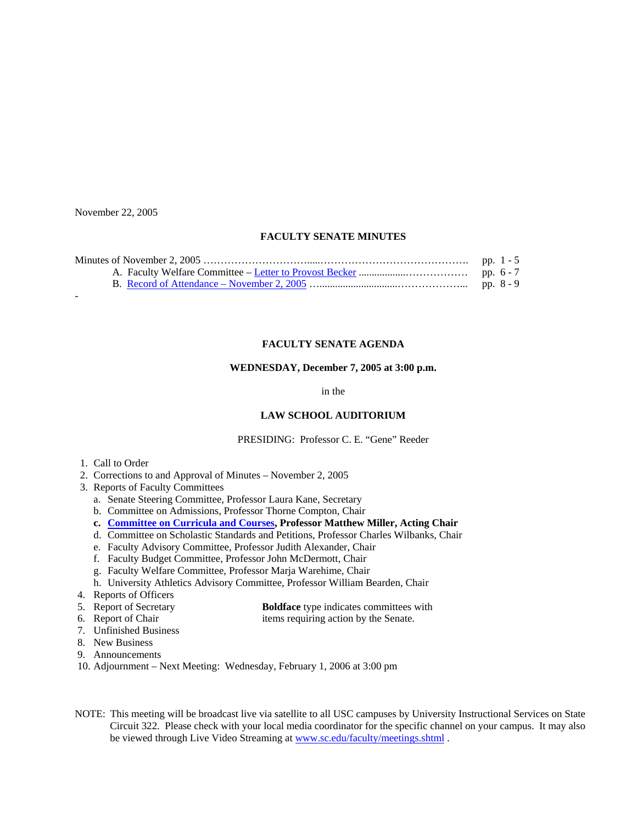November 22, 2005

# **FACULTY SENATE MINUTES**

### **FACULTY SENATE AGENDA**

#### **WEDNESDAY, December 7, 2005 at 3:00 p.m.**

in the

# **LAW SCHOOL AUDITORIUM**

PRESIDING: Professor C. E. "Gene" Reeder

- 1. Call to Order
- 2. Corrections to and Approval of Minutes November 2, 2005
- 3. Reports of Faculty Committees
	- a. Senate Steering Committee, Professor Laura Kane, Secretary
	- b. Committee on Admissions, Professor Thorne Compton, Chair
	- **c. [Committee on Curricula and Courses](http://www.sc.edu/faculty/senate/05/agenda/1207.cc.pdf), Professor Matthew Miller, Acting Chair**
	- d. Committee on Scholastic Standards and Petitions, Professor Charles Wilbanks, Chair
	- e. Faculty Advisory Committee, Professor Judith Alexander, Chair
	- f. Faculty Budget Committee, Professor John McDermott, Chair
	- g. Faculty Welfare Committee, Professor Marja Warehime, Chair
	- h. University Athletics Advisory Committee, Professor William Bearden, Chair
- 4. Reports of Officers
- 5. Report of Secretary **Boldface** type indicates committees with
- 6. Report of Chair items requiring action by the Senate.
- 7. Unfinished Business
- 8. New Business
- 9. Announcements
- 10. Adjournment Next Meeting: Wednesday, February 1, 2006 at 3:00 pm
- NOTE: This meeting will be broadcast live via satellite to all USC campuses by University Instructional Services on State Circuit 322. Please check with your local media coordinator for the specific channel on your campus. It may also be viewed through Live Video Streaming at [www.sc.edu/faculty/meetings.shtml](http://www.sc.edu/faculty/meetings.shtml) .